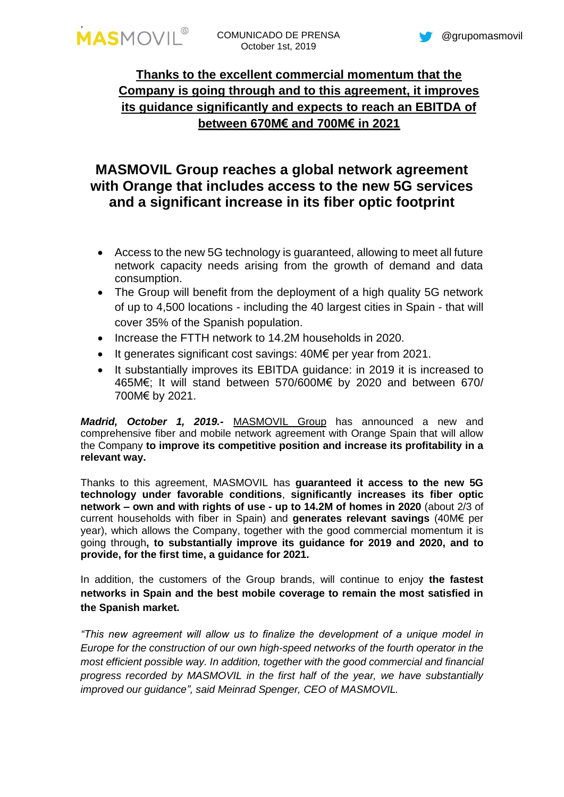

## **Thanks to the excellent commercial momentum that the Company is going through and to this agreement, it improves its guidance significantly and expects to reach an EBITDA of between 670M€ and 700M€ in 2021**

# **MASMOVIL Group reaches a global network agreement with Orange that includes access to the new 5G services and a significant increase in its fiber optic footprint**

- Access to the new 5G technology is guaranteed, allowing to meet all future network capacity needs arising from the growth of demand and data consumption.
- The Group will benefit from the deployment of a high quality 5G network of up to 4,500 locations - including the 40 largest cities in Spain - that will cover 35% of the Spanish population.
- Increase the FTTH network to 14.2M households in 2020.
- It generates significant cost savings: 40M€ per year from 2021.
- It substantially improves its EBITDA guidance: in 2019 it is increased to 465M€; It will stand between 570/600M€ by 2020 and between 670/ 700M€ by 2021.

*Madrid, October 1, 2019.-* [MASMOVIL](http://www.grupomasmovil.com/) Group has announced a new and comprehensive fiber and mobile network agreement with Orange Spain that will allow the Company **to improve its competitive position and increase its profitability in a relevant way.**

Thanks to this agreement, MASMOVIL has **guaranteed it access to the new 5G technology under favorable conditions**, **significantly increases its fiber optic network – own and with rights of use - up to 14.2M of homes in 2020** (about 2/3 of current households with fiber in Spain) and **generates relevant savings** (40M€ per year), which allows the Company, together with the good commercial momentum it is going through**, to substantially improve its guidance for 2019 and 2020, and to provide, for the first time, a guidance for 2021.**

In addition, the customers of the Group brands, will continue to enjoy **the fastest networks in Spain and the best mobile coverage to remain the most satisfied in the Spanish market.**

*"This new agreement will allow us to finalize the development of a unique model in Europe for the construction of our own high-speed networks of the fourth operator in the most efficient possible way. In addition, together with the good commercial and financial progress recorded by MASMOVIL in the first half of the year, we have substantially improved our guidance", said Meinrad Spenger, CEO of MASMOVIL.*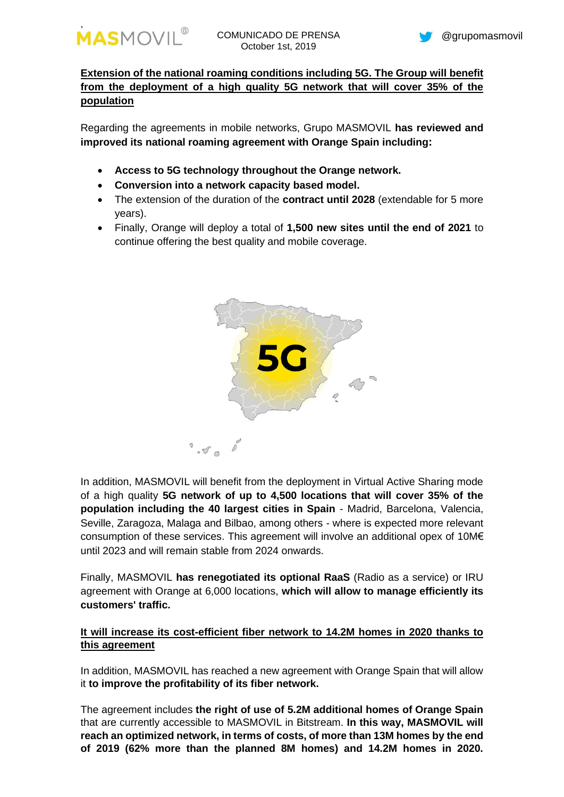

**Extension of the national roaming conditions including 5G. The Group will benefit from the deployment of a high quality 5G network that will cover 35% of the population**

Regarding the agreements in mobile networks, Grupo MASMOVIL **has reviewed and improved its national roaming agreement with Orange Spain including:**

- **Access to 5G technology throughout the Orange network.**
- **Conversion into a network capacity based model.**
- The extension of the duration of the **contract until 2028** (extendable for 5 more years).
- Finally, Orange will deploy a total of **1,500 new sites until the end of 2021** to continue offering the best quality and mobile coverage.



In addition, MASMOVIL will benefit from the deployment in Virtual Active Sharing mode of a high quality **5G network of up to 4,500 locations that will cover 35% of the population including the 40 largest cities in Spain** - Madrid, Barcelona, Valencia, Seville, Zaragoza, Malaga and Bilbao, among others - where is expected more relevant consumption of these services. This agreement will involve an additional opex of 10M $\epsilon$ until 2023 and will remain stable from 2024 onwards.

Finally, MASMOVIL **has renegotiated its optional RaaS** (Radio as a service) or IRU agreement with Orange at 6,000 locations, **which will allow to manage efficiently its customers' traffic.**

## **It will increase its cost-efficient fiber network to 14.2M homes in 2020 thanks to this agreement**

In addition, MASMOVIL has reached a new agreement with Orange Spain that will allow it **to improve the profitability of its fiber network.**

The agreement includes **the right of use of 5.2M additional homes of Orange Spain** that are currently accessible to MASMOVIL in Bitstream. **In this way, MASMOVIL will reach an optimized network, in terms of costs, of more than 13M homes by the end of 2019 (62% more than the planned 8M homes) and 14.2M homes in 2020.**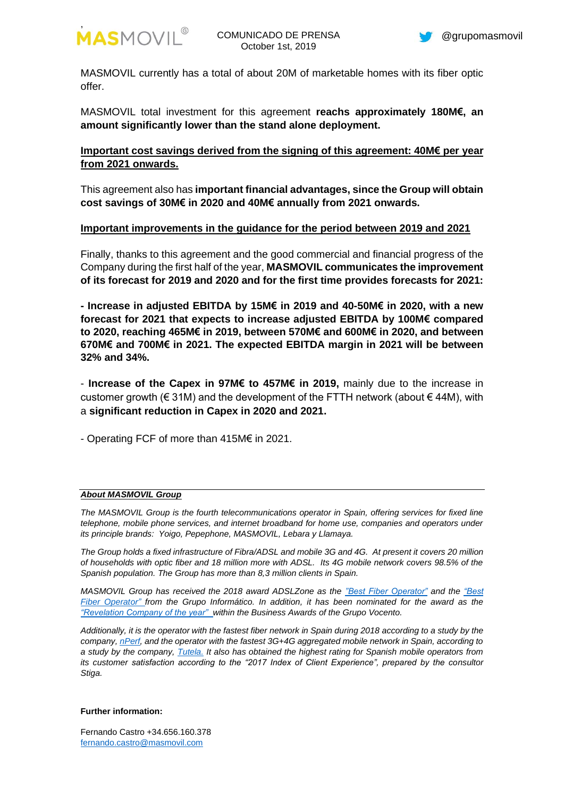

MASMOVIL currently has a total of about 20M of marketable homes with its fiber optic offer.

MASMOVIL total investment for this agreement **reachs approximately 180M€, an amount significantly lower than the stand alone deployment.**

**Important cost savings derived from the signing of this agreement: 40M€ per year from 2021 onwards.**

This agreement also has **important financial advantages, since the Group will obtain cost savings of 30M€ in 2020 and 40M€ annually from 2021 onwards.**

### **Important improvements in the guidance for the period between 2019 and 2021**

Finally, thanks to this agreement and the good commercial and financial progress of the Company during the first half of the year, **MASMOVIL communicates the improvement of its forecast for 2019 and 2020 and for the first time provides forecasts for 2021:**

**- Increase in adjusted EBITDA by 15M€ in 2019 and 40-50M€ in 2020, with a new forecast for 2021 that expects to increase adjusted EBITDA by 100M€ compared to 2020, reaching 465M€ in 2019, between 570M€ and 600M€ in 2020, and between 670M€ and 700M€ in 2021. The expected EBITDA margin in 2021 will be between 32% and 34%.**

- **Increase of the Capex in 97M€ to 457M€ in 2019,** mainly due to the increase in customer growth ( $\in$  31M) and the development of the FTTH network (about  $\in$  44M), with a **significant reduction in Capex in 2020 and 2021.**

- Operating FCF of more than 415M€ in 2021.

### *About MASMOVIL Group*

*The MASMOVIL Group is the fourth telecommunications operator in Spain, offering services for fixed line telephone, mobile phone services, and internet broadband for home use, companies and operators under its principle brands: Yoigo, Pepephone, MASMOVIL, Lebara y Llamaya.*

*The Group holds a fixed infrastructure of Fibra/ADSL and mobile 3G and 4G. At present it covers 20 million of households with optic fiber and 18 million more with ADSL. Its 4G mobile network covers 98.5% of the Spanish population. The Group has more than 8,3 million clients in Spain.* 

*MASMOVIL Group has received the 2018 award ADSLZone as the "Best Fiber Operator" and the ["Best](https://www.elgrupoinformatico.com/conoce-los-ganadores-los-premios-2018-grupo-informatico-t72341.html)  [Fiber Operator" f](https://www.elgrupoinformatico.com/conoce-los-ganadores-los-premios-2018-grupo-informatico-t72341.html)rom the Grupo Informático. In addition, it has been nominated for the award as the "Revelation Company of the year" within the Business Awards of the Grupo Vocento.*

*Additionally, it is the operator with the fastest fiber network in Spain during 2018 according to a study by the company[, nPerf,](https://www.adslzone.net/2018/02/22/velocidad-fibra-masmovil/) and the operator with the fastest 3G+4G aggregated mobile network in Spain, according to a study by the company, [Tutela.](https://cincodias.elpais.com/cincodias/2018/02/05/lifestyle/1517828904_769144.html) It also has obtained the highest rating for Spanish mobile operators from its customer satisfaction according to the "2017 Index of Client Experience", prepared by the consultor Stiga.* 

#### **Further information:**

Fernando Castro +34.656.160.378 [fernando.castro@masmovil.com](mailto:fernando.castro@masmovil.com)